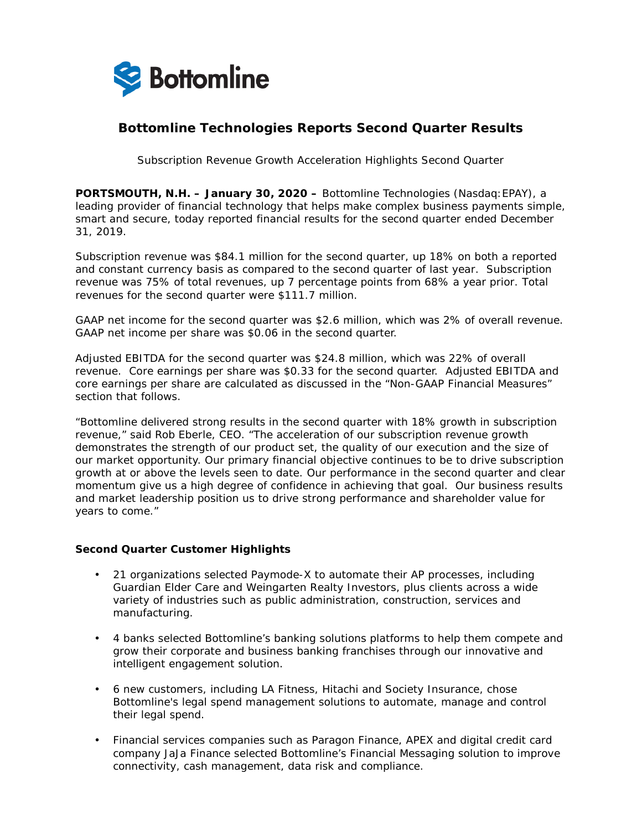

# **Bottomline Technologies Reports Second Quarter Results**

*Subscription Revenue Growth Acceleration Highlights Second Quarter*

**PORTSMOUTH, N.H. – January 30, 2020 –** Bottomline Technologies (Nasdaq:EPAY), a leading provider of financial technology that helps make complex business payments simple, smart and secure, today reported financial results for the second quarter ended December 31, 2019.

Subscription revenue was \$84.1 million for the second quarter, up 18% on both a reported and constant currency basis as compared to the second quarter of last year. Subscription revenue was 75% of total revenues, up 7 percentage points from 68% a year prior. Total revenues for the second quarter were \$111.7 million.

GAAP net income for the second quarter was \$2.6 million, which was 2% of overall revenue. GAAP net income per share was \$0.06 in the second quarter.

Adjusted EBITDA for the second quarter was \$24.8 million, which was 22% of overall revenue. Core earnings per share was \$0.33 for the second quarter. Adjusted EBITDA and core earnings per share are calculated as discussed in the "Non-GAAP Financial Measures" section that follows.

"Bottomline delivered strong results in the second quarter with 18% growth in subscription revenue," said Rob Eberle, CEO. "The acceleration of our subscription revenue growth demonstrates the strength of our product set, the quality of our execution and the size of our market opportunity. Our primary financial objective continues to be to drive subscription growth at or above the levels seen to date. Our performance in the second quarter and clear momentum give us a high degree of confidence in achieving that goal. Our business results and market leadership position us to drive strong performance and shareholder value for years to come."

#### **Second Quarter Customer Highlights**

- 21 organizations selected Paymode-X to automate their AP processes, including Guardian Elder Care and Weingarten Realty Investors, plus clients across a wide variety of industries such as public administration, construction, services and manufacturing.
- 4 banks selected Bottomline's banking solutions platforms to help them compete and grow their corporate and business banking franchises through our innovative and intelligent engagement solution.
- 6 new customers, including LA Fitness, Hitachi and Society Insurance, chose Bottomline's legal spend management solutions to automate, manage and control their legal spend.
- Financial services companies such as Paragon Finance, APEX and digital credit card company JaJa Finance selected Bottomline's Financial Messaging solution to improve connectivity, cash management, data risk and compliance.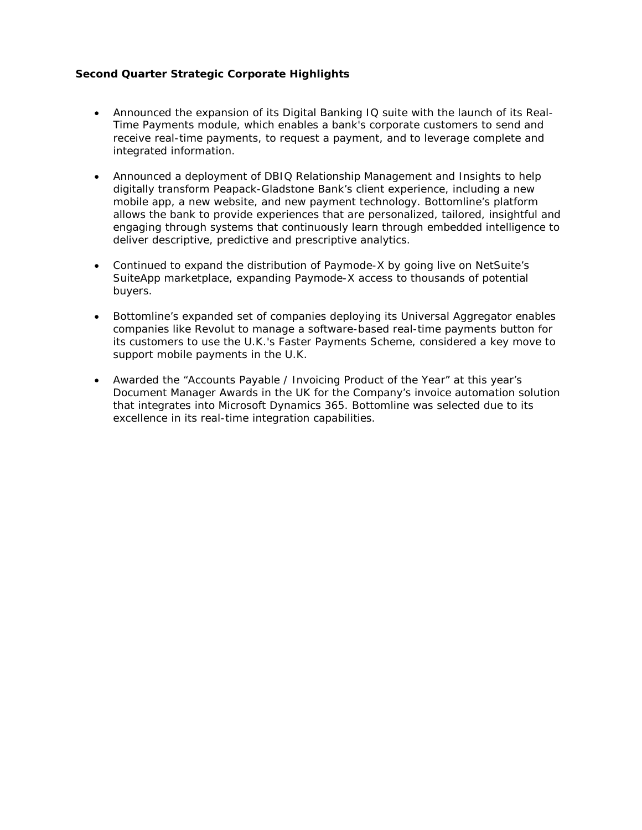### **Second Quarter Strategic Corporate Highlights**

- Announced the expansion of its Digital Banking IQ suite with the launch of its Real-Time Payments module, which enables a bank's corporate customers to send and receive real-time payments, to request a payment, and to leverage complete and integrated information.
- Announced a deployment of DBIQ Relationship Management and Insights to help digitally transform Peapack-Gladstone Bank's client experience, including a new mobile app, a new website, and new payment technology. Bottomline's platform allows the bank to provide experiences that are personalized, tailored, insightful and engaging through systems that continuously learn through embedded intelligence to deliver descriptive, predictive and prescriptive analytics.
- Continued to expand the distribution of Paymode-X by going live on NetSuite's SuiteApp marketplace, expanding Paymode-X access to thousands of potential buyers.
- Bottomline's expanded set of companies deploying its Universal Aggregator enables companies like Revolut to manage a software-based real-time payments button for its customers to use the U.K.'s Faster Payments Scheme, considered a key move to support mobile payments in the U.K.
- Awarded the "Accounts Payable / Invoicing Product of the Year" at this year's Document Manager Awards in the UK for the Company's invoice automation solution that integrates into Microsoft Dynamics 365. Bottomline was selected due to its excellence in its real-time integration capabilities.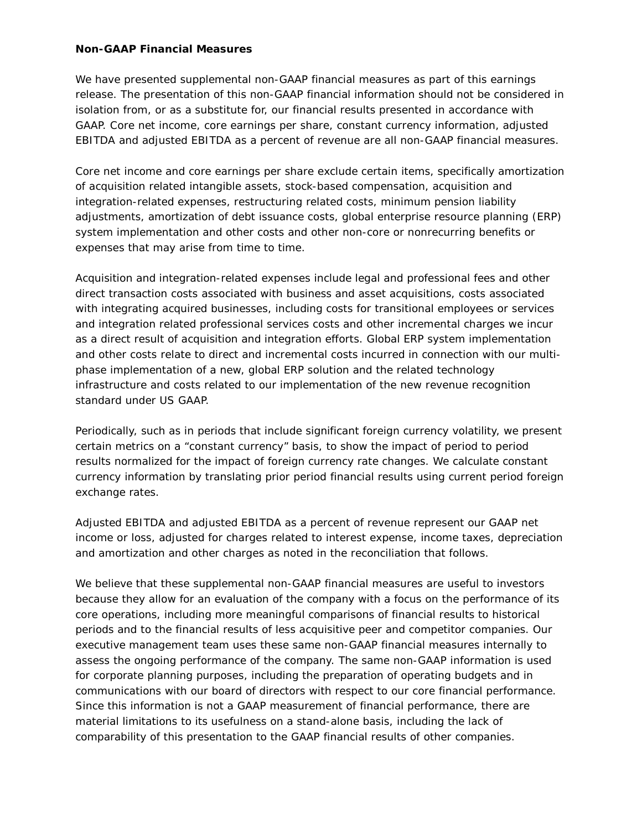### **Non-GAAP Financial Measures**

We have presented supplemental non-GAAP financial measures as part of this earnings release. The presentation of this non-GAAP financial information should not be considered in isolation from, or as a substitute for, our financial results presented in accordance with GAAP. Core net income, core earnings per share, constant currency information, adjusted EBITDA and adjusted EBITDA as a percent of revenue are all non-GAAP financial measures.

Core net income and core earnings per share exclude certain items, specifically amortization of acquisition related intangible assets, stock-based compensation, acquisition and integration-related expenses, restructuring related costs, minimum pension liability adjustments, amortization of debt issuance costs, global enterprise resource planning (ERP) system implementation and other costs and other non-core or nonrecurring benefits or expenses that may arise from time to time.

Acquisition and integration-related expenses include legal and professional fees and other direct transaction costs associated with business and asset acquisitions, costs associated with integrating acquired businesses, including costs for transitional employees or services and integration related professional services costs and other incremental charges we incur as a direct result of acquisition and integration efforts. Global ERP system implementation and other costs relate to direct and incremental costs incurred in connection with our multiphase implementation of a new, global ERP solution and the related technology infrastructure and costs related to our implementation of the new revenue recognition standard under US GAAP.

Periodically, such as in periods that include significant foreign currency volatility, we present certain metrics on a "constant currency" basis, to show the impact of period to period results normalized for the impact of foreign currency rate changes. We calculate constant currency information by translating prior period financial results using current period foreign exchange rates.

Adjusted EBITDA and adjusted EBITDA as a percent of revenue represent our GAAP net income or loss, adjusted for charges related to interest expense, income taxes, depreciation and amortization and other charges as noted in the reconciliation that follows.

We believe that these supplemental non-GAAP financial measures are useful to investors because they allow for an evaluation of the company with a focus on the performance of its core operations, including more meaningful comparisons of financial results to historical periods and to the financial results of less acquisitive peer and competitor companies. Our executive management team uses these same non-GAAP financial measures internally to assess the ongoing performance of the company. The same non-GAAP information is used for corporate planning purposes, including the preparation of operating budgets and in communications with our board of directors with respect to our core financial performance. Since this information is not a GAAP measurement of financial performance, there are material limitations to its usefulness on a stand-alone basis, including the lack of comparability of this presentation to the GAAP financial results of other companies.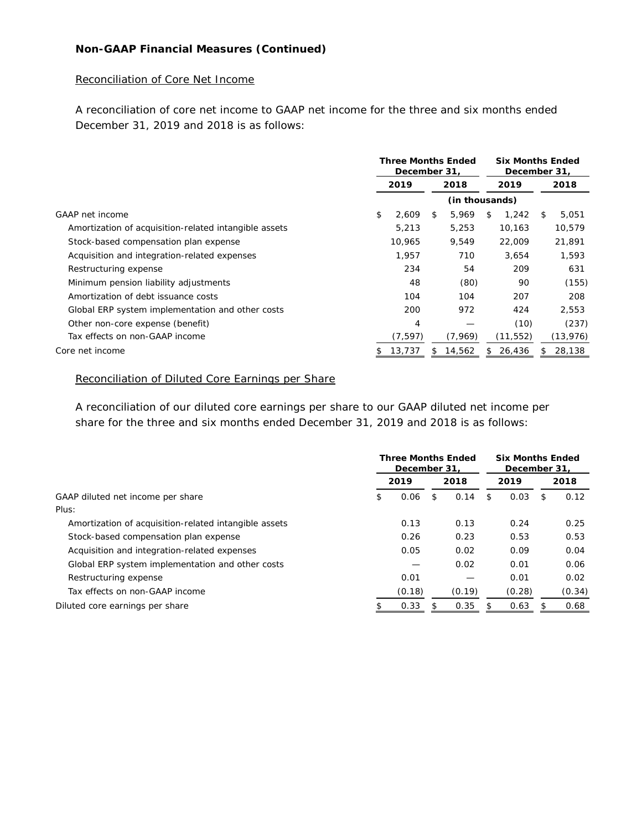### **Non-GAAP Financial Measures (Continued)**

### Reconciliation of Core Net Income

A reconciliation of core net income to GAAP net income for the three and six months ended December 31, 2019 and 2018 is as follows:

|                                                       |    | <b>Three Months Ended</b><br>December 31, |                |         |    |           | <b>Six Months Ended</b><br>December 31, |           |  |
|-------------------------------------------------------|----|-------------------------------------------|----------------|---------|----|-----------|-----------------------------------------|-----------|--|
|                                                       |    | 2019                                      |                | 2018    |    | 2019      |                                         | 2018      |  |
|                                                       |    |                                           | (in thousands) |         |    |           |                                         |           |  |
| GAAP net income                                       | \$ | 2,609                                     | S.             | 5.969   | \$ | 1,242     | \$                                      | 5,051     |  |
| Amortization of acquisition-related intangible assets |    | 5,213                                     |                | 5,253   |    | 10,163    |                                         | 10,579    |  |
| Stock-based compensation plan expense                 |    | 10,965                                    |                | 9,549   |    | 22,009    |                                         | 21,891    |  |
| Acquisition and integration-related expenses          |    | 1,957                                     |                | 710     |    | 3,654     |                                         | 1,593     |  |
| Restructuring expense                                 |    | 234                                       |                | 54      |    | 209       |                                         | 631       |  |
| Minimum pension liability adjustments                 |    | 48                                        |                | (80)    |    | 90        |                                         | (155)     |  |
| Amortization of debt issuance costs                   |    | 104                                       |                | 104     |    | 207       |                                         | 208       |  |
| Global ERP system implementation and other costs      |    | 200                                       |                | 972     |    | 424       |                                         | 2,553     |  |
| Other non-core expense (benefit)                      |    | 4                                         |                |         |    | (10)      |                                         | (237)     |  |
| Tax effects on non-GAAP income                        |    | (7, 597)                                  |                | (7,969) |    | (11, 552) |                                         | (13, 976) |  |
| Core net income                                       | S. | 13,737                                    | S.             | 14,562  |    | 26,436    |                                         | 28,138    |  |

### Reconciliation of Diluted Core Earnings per Share

A reconciliation of our diluted core earnings per share to our GAAP diluted net income per share for the three and six months ended December 31, 2019 and 2018 is as follows:

|                                                       | <b>Three Months Ended</b><br>December 31. |              |    |                   | <b>Six Months Ended</b><br>December 31. |        |      |        |
|-------------------------------------------------------|-------------------------------------------|--------------|----|-------------------|-----------------------------------------|--------|------|--------|
|                                                       |                                           | 2018<br>2019 |    | 2019              |                                         |        | 2018 |        |
| GAAP diluted net income per share                     | \$                                        | 0.06         | \$ | .14<br>$\Omega$ . | S                                       | 0.03   | \$   | 0.12   |
| Plus:                                                 |                                           |              |    |                   |                                         |        |      |        |
| Amortization of acquisition-related intangible assets |                                           | 0.13         |    | 0.13              |                                         | 0.24   |      | 0.25   |
| Stock-based compensation plan expense                 |                                           | 0.26         |    | 0.23              |                                         | 0.53   |      | 0.53   |
| Acquisition and integration-related expenses          |                                           | 0.05         |    | 0.02              |                                         | 0.09   |      | 0.04   |
| Global ERP system implementation and other costs      |                                           |              |    | 0.02              |                                         | 0.01   |      | 0.06   |
| Restructuring expense                                 |                                           | 0.01         |    |                   |                                         | 0.01   |      | 0.02   |
| Tax effects on non-GAAP income                        |                                           | (0.18)       |    | (0.19)            |                                         | (0.28) |      | (0.34) |
| Diluted core earnings per share                       |                                           | 0.33         |    | 0.35              |                                         | 0.63   |      | 0.68   |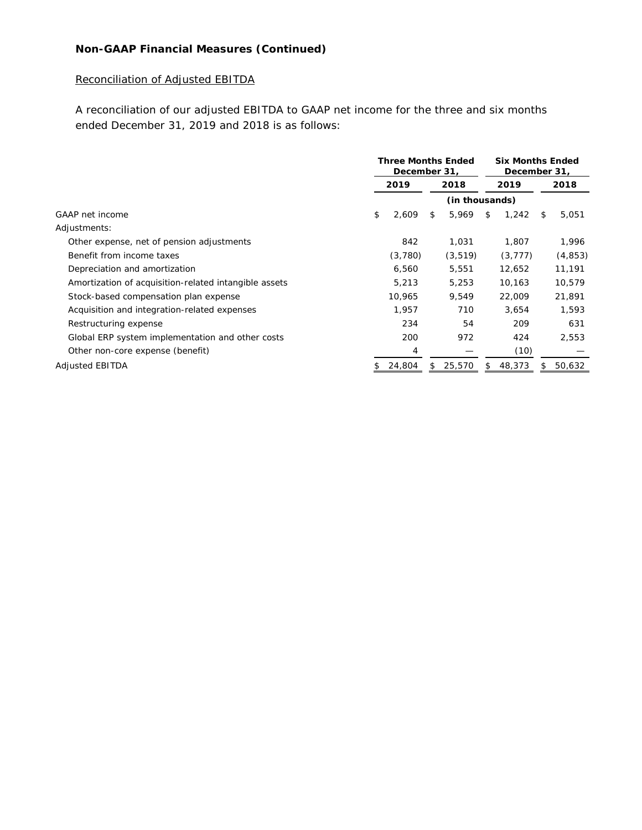# **Non-GAAP Financial Measures (Continued)**

# Reconciliation of Adjusted EBITDA

A reconciliation of our adjusted EBITDA to GAAP net income for the three and six months ended December 31, 2019 and 2018 is as follows:

|                                                       | <b>Three Months Ended</b><br>December 31, |         |    |                | <b>Six Months Ended</b><br>December 31, |          |                |          |  |
|-------------------------------------------------------|-------------------------------------------|---------|----|----------------|-----------------------------------------|----------|----------------|----------|--|
|                                                       | 2019                                      |         |    | 2018           |                                         | 2019     |                | 2018     |  |
|                                                       |                                           |         |    | (in thousands) |                                         |          |                |          |  |
| GAAP net income                                       | \$                                        | 2,609   | \$ | 5,969          | \$                                      | 1,242    | $\mathfrak{L}$ | 5,051    |  |
| Adjustments:                                          |                                           |         |    |                |                                         |          |                |          |  |
| Other expense, net of pension adjustments             |                                           | 842     |    | 1,031          |                                         | 1,807    |                | 1,996    |  |
| Benefit from income taxes                             |                                           | (3,780) |    | (3, 519)       |                                         | (3, 777) |                | (4, 853) |  |
| Depreciation and amortization                         |                                           | 6,560   |    | 5,551          |                                         | 12,652   |                | 11,191   |  |
| Amortization of acquisition-related intangible assets |                                           | 5,213   |    | 5,253          |                                         | 10,163   |                | 10,579   |  |
| Stock-based compensation plan expense                 |                                           | 10,965  |    | 9,549          |                                         | 22,009   |                | 21,891   |  |
| Acquisition and integration-related expenses          |                                           | 1,957   |    | 710            |                                         | 3,654    |                | 1,593    |  |
| Restructuring expense                                 |                                           | 234     |    | 54             |                                         | 209      |                | 631      |  |
| Global ERP system implementation and other costs      |                                           | 200     |    | 972            |                                         | 424      |                | 2,553    |  |
| Other non-core expense (benefit)                      |                                           | 4       |    |                |                                         | (10)     |                |          |  |
| <b>Adjusted EBITDA</b>                                | \$                                        | 24,804  | \$ | 25,570         | \$                                      | 48,373   | S              | 50,632   |  |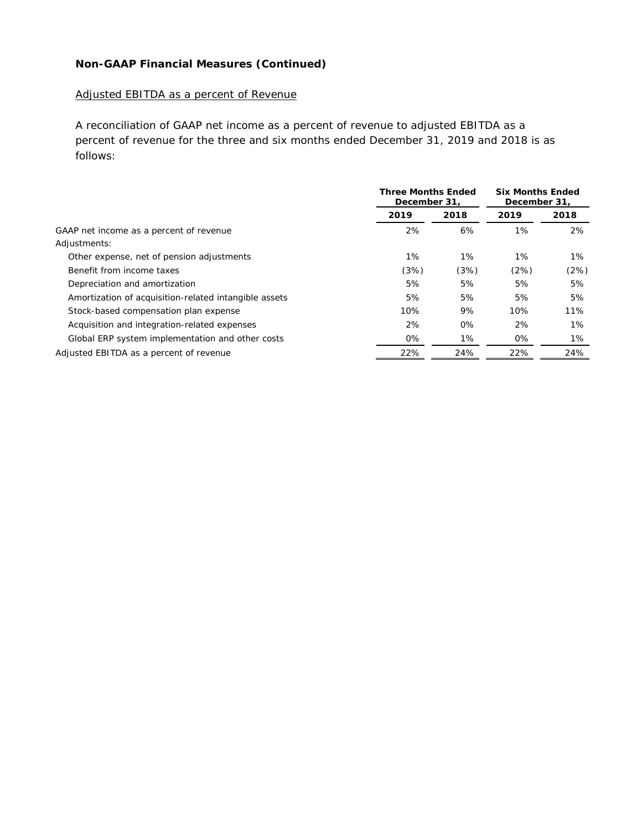## **Non-GAAP Financial Measures (Continued)**

### Adjusted EBITDA as a percent of Revenue

A reconciliation of GAAP net income as a percent of revenue to adjusted EBITDA as a percent of revenue for the three and six months ended December 31, 2019 and 2018 is as follows:

|                                                       | <b>Three Months Ended</b><br>December 31. | <b>Six Months Ended</b><br>December 31. |       |       |  |
|-------------------------------------------------------|-------------------------------------------|-----------------------------------------|-------|-------|--|
|                                                       | 2019                                      | 2018                                    | 2019  | 2018  |  |
| GAAP net income as a percent of revenue               | 2%                                        | 6%                                      | $1\%$ | 2%    |  |
| Adjustments:                                          |                                           |                                         |       |       |  |
| Other expense, net of pension adjustments             | $1\%$                                     | 1%                                      | 1%    | $1\%$ |  |
| Benefit from income taxes                             | (3%)                                      | (3%)                                    | (2%)  | (2%)  |  |
| Depreciation and amortization                         | 5%                                        | 5%                                      | 5%    | 5%    |  |
| Amortization of acquisition-related intangible assets | 5%                                        | 5%                                      | 5%    | 5%    |  |
| Stock-based compensation plan expense                 | 10%                                       | 9%                                      | 10%   | 11%   |  |
| Acquisition and integration-related expenses          | 2%                                        | 0%                                      | 2%    | $1\%$ |  |
| Global ERP system implementation and other costs      | 0%                                        | 1%                                      | 0%    | $1\%$ |  |
| Adjusted EBITDA as a percent of revenue               | 22%                                       | 24%                                     | 22%   | 24%   |  |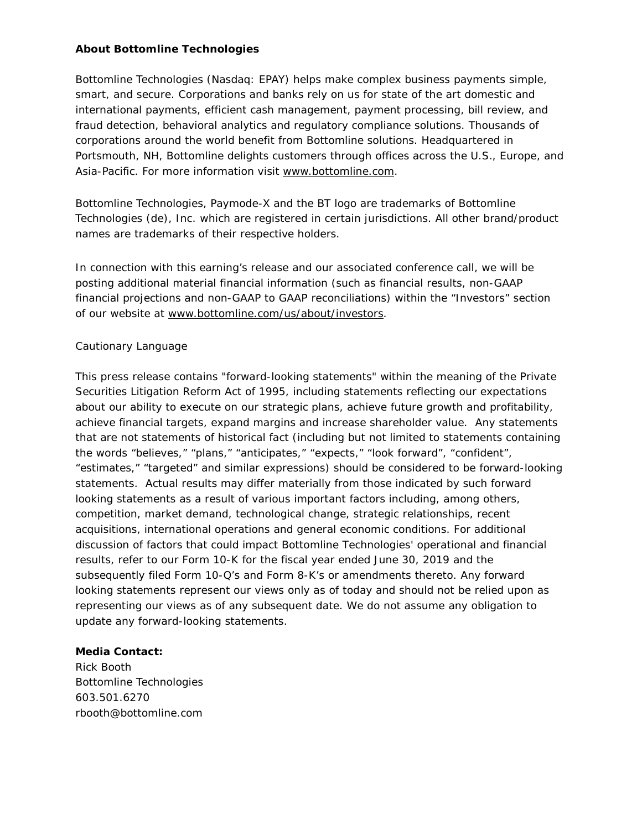### **About Bottomline Technologies**

Bottomline Technologies (Nasdaq: EPAY) helps make complex business payments simple, smart, and secure. Corporations and banks rely on us for state of the art domestic and international payments, efficient cash management, payment processing, bill review, and fraud detection, behavioral analytics and regulatory compliance solutions. Thousands of corporations around the world benefit from Bottomline solutions. Headquartered in Portsmouth, NH, Bottomline delights customers through offices across the U.S., Europe, and Asia-Pacific. For more information visit www.bottomline.com.

Bottomline Technologies, Paymode-X and the BT logo are trademarks of Bottomline Technologies (de), Inc. which are registered in certain jurisdictions. All other brand/product names are trademarks of their respective holders.

In connection with this earning's release and our associated conference call, we will be posting additional material financial information (such as financial results, non-GAAP financial projections and non-GAAP to GAAP reconciliations) within the "Investors" section of our website at www.bottomline.com/us/about/investors.

### *Cautionary Language*

*This press release contains "forward-looking statements" within the meaning of the Private Securities Litigation Reform Act of 1995, including statements reflecting our expectations about our ability to execute on our strategic plans, achieve future growth and profitability, achieve financial targets, expand margins and increase shareholder value. Any statements that are not statements of historical fact (including but not limited to statements containing the words "believes," "plans," "anticipates," "expects," "look forward", "confident", "estimates," "targeted" and similar expressions) should be considered to be forward-looking statements. Actual results may differ materially from those indicated by such forward looking statements as a result of various important factors including, among others, competition, market demand, technological change, strategic relationships, recent acquisitions, international operations and general economic conditions. For additional discussion of factors that could impact Bottomline Technologies' operational and financial results, refer to our Form 10-K for the fiscal year ended June 30, 2019 and the subsequently filed Form 10-Q's and Form 8-K's or amendments thereto. Any forward looking statements represent our views only as of today and should not be relied upon as representing our views as of any subsequent date. We do not assume any obligation to update any forward-looking statements.*

### **Media Contact:**

Rick Booth Bottomline Technologies 603.501.6270 rbooth@bottomline.com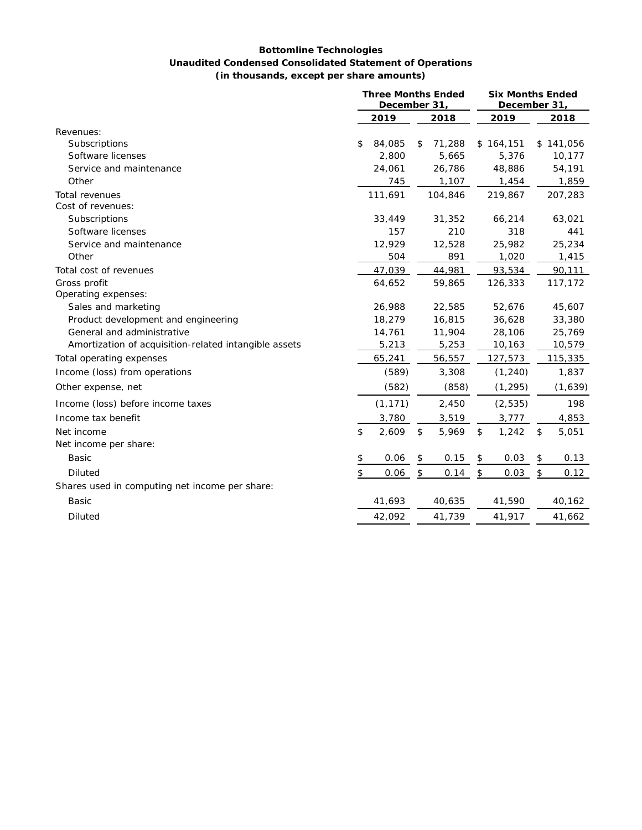### **Bottomline Technologies Unaudited Condensed Consolidated Statement of Operations (in thousands, except per share amounts)**

|                                                       |     | <b>Three Months Ended</b><br>December 31 |    |         | <b>Six Months Ended</b><br>December 31 |    |           |
|-------------------------------------------------------|-----|------------------------------------------|----|---------|----------------------------------------|----|-----------|
|                                                       |     | 2019                                     |    | 2018    | 2019                                   |    | 2018      |
| Revenues:                                             |     |                                          |    |         |                                        |    |           |
| Subscriptions                                         | \$. | 84,085                                   | \$ | 71,288  | \$164,151                              |    | \$141,056 |
| Software licenses                                     |     | 2,800                                    |    | 5,665   | 5,376                                  |    | 10,177    |
| Service and maintenance                               |     | 24,061                                   |    | 26,786  | 48,886                                 |    | 54,191    |
| Other                                                 |     | 745                                      |    | 1,107   | 1,454                                  |    | 1,859     |
| Total revenues                                        |     | 111,691                                  |    | 104,846 | 219,867                                |    | 207,283   |
| Cost of revenues:                                     |     |                                          |    |         |                                        |    |           |
| Subscriptions                                         |     | 33,449                                   |    | 31,352  | 66,214                                 |    | 63,021    |
| Software licenses                                     |     | 157                                      |    | 210     | 318                                    |    | 441       |
| Service and maintenance                               |     | 12,929                                   |    | 12,528  | 25,982                                 |    | 25,234    |
| Other                                                 |     | 504                                      |    | 891     | 1,020                                  |    | 1,415     |
| Total cost of revenues                                |     | 47,039                                   |    | 44,981  | 93,534                                 |    | 90,111    |
| Gross profit                                          |     | 64,652                                   |    | 59,865  | 126,333                                |    | 117,172   |
| Operating expenses:                                   |     |                                          |    |         |                                        |    |           |
| Sales and marketing                                   |     | 26,988                                   |    | 22,585  | 52,676                                 |    | 45,607    |
| Product development and engineering                   |     | 18,279                                   |    | 16,815  | 36,628                                 |    | 33,380    |
| General and administrative                            |     | 14,761                                   |    | 11,904  | 28,106                                 |    | 25,769    |
| Amortization of acquisition-related intangible assets |     | 5,213                                    |    | 5,253   | 10,163                                 |    | 10,579    |
| Total operating expenses                              |     | 65,241                                   |    | 56,557  | 127,573                                |    | 115,335   |
| Income (loss) from operations                         |     | (589)                                    |    | 3,308   | (1, 240)                               |    | 1,837     |
| Other expense, net                                    |     | (582)                                    |    | (858)   | (1, 295)                               |    | (1,639)   |
| Income (loss) before income taxes                     |     | (1, 171)                                 |    | 2,450   | (2, 535)                               |    | 198       |
| Income tax benefit                                    |     | 3,780                                    |    | 3,519   | 3,777                                  |    | 4,853     |
| Net income                                            | \$  | 2,609                                    | \$ | 5,969   | \$<br>1,242                            | \$ | 5,051     |
| Net income per share:                                 |     |                                          |    |         |                                        |    |           |
| Basic                                                 | \$  | 0.06                                     | \$ | 0.15    | \$<br>0.03                             | \$ | 0.13      |
| Diluted                                               | \$  | 0.06                                     | \$ | 0.14    | \$<br>0.03                             | \$ | 0.12      |
| Shares used in computing net income per share:        |     |                                          |    |         |                                        |    |           |
| <b>Basic</b>                                          |     | 41,693                                   |    | 40,635  | 41,590                                 |    | 40,162    |
| <b>Diluted</b>                                        |     | 42,092                                   |    | 41,739  | 41,917                                 |    | 41,662    |